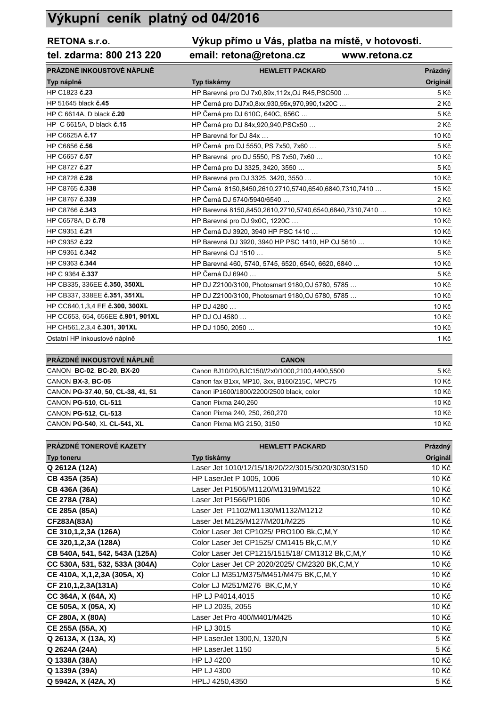## **Výkupní ceník platný od 04/2016**

## **RETONA s.r.o. Výkup přímo u Vás, platba na místě, v hotovosti.**

## **tel. zdarma: 800 213 220 email: retona@retona.cz www.retona.cz**

| PRÁZDNÉ INKOUSTOVÉ NÁPLNĚ         | <b>HEWLETT PACKARD</b>                                  | Prázdný  |
|-----------------------------------|---------------------------------------------------------|----------|
| Typ náplně                        | Typ tiskárny                                            | Originál |
| HP C1823 č.23                     | HP Barevná pro DJ 7x0,89x,112x, OJ R45, PSC500          | 5 Kč     |
| HP 51645 black č.45               | HP Černá pro DJ7x0,8xx,930,95x,970,990,1x20C            | 2Kč      |
| HP C 6614A, D black č.20          | HP Černá pro DJ 610C, 640C, 656C                        | 5 Kč     |
| HP C 6615A, D black č.15          | HP Černá pro DJ 84x,920,940,PSCx50                      | 2 Kč     |
| HP C6625A č.17                    | HP Barevná for DJ 84x                                   | 10 Kč    |
| HP C6656 č.56                     | HP Černá pro DJ 5550, PS 7x50, 7x60                     | 5 Kč     |
| HP C6657 č.57                     | HP Barevná pro DJ 5550, PS 7x50, 7x60                   | 10 Kč    |
| HP C8727 č.27                     | HP Černá pro DJ 3325, 3420, 3550                        | 5 Kč     |
| HP C8728 č.28                     | HP Barevná pro DJ 3325, 3420, 3550                      | 10 Kč    |
| HP C8765 č.338                    | HP Černá 8150,8450,2610,2710,5740,6540,6840,7310,7410   | 15 Kč    |
| HP C8767 č.339                    | HP Černá DJ 5740/5940/6540                              | 2Kč      |
| HP C8766 č.343                    | HP Barevná 8150,8450,2610,2710,5740,6540,6840,7310,7410 | 10 Kč    |
| HP C6578A, D č.78                 | HP Barevná pro DJ 9x0C, 1220C                           | 10 Kč    |
| HP C9351 č.21                     | HP Černá DJ 3920, 3940 HP PSC 1410                      | 10 Kč    |
| HP C9352 č.22                     | HP Barevná DJ 3920, 3940 HP PSC 1410, HP OJ 5610        | 10 Kč    |
| HP C9361 č.342                    | HP Barevná OJ 1510                                      | 5 Kč     |
| HP C9363 č.344                    | HP Barevná 460, 5740, 5745, 6520, 6540, 6620, 6840      | 10 Kč    |
| HP C 9364 č.337                   | HP Černá DJ 6940                                        | 5 Kč     |
| HP CB335, 336EE č.350, 350XL      | HP DJ Z2100/3100, Photosmart 9180, OJ 5780, 5785        | 10 Kč    |
| HP CB337, 338EE č.351, 351XL      | HP DJ Z2100/3100, Photosmart 9180, OJ 5780, 5785        | 10 Kč    |
| HP CC640,1,3,4 EE č.300, 300XL    | HP DJ 4280                                              | 10 Kč    |
| HP CC653, 654, 656EE č.901, 901XL | HP DJ OJ 4580                                           | 10 Kč    |
| HP CH561,2,3,4 č.301, 301XL       | HP DJ 1050, 2050                                        | 10 Kč    |
| Ostatní HP inkoustové náplně      |                                                         | 1 Kč     |

| PRÁZDNÉ INKOUSTOVÉ NÁPLNĚ         | <b>CANON</b>                                      |       |
|-----------------------------------|---------------------------------------------------|-------|
| CANON BC-02, BC-20, BX-20         | Canon BJ10/20, BJC150//2x0/1000, 2100, 4400, 5500 | 5 Kč  |
| CANON BX-3, BC-05                 | Canon fax B1xx, MP10, 3xx, B160/215C, MPC75       | 10 Kč |
| CANON PG-37,40, 50, CL-38, 41, 51 | Canon iP1600/1800/2200/2500 black, color          | 10 Kč |
| CANON PG-510, CL-511              | Canon Pixma 240.260                               | 10 Kč |
| CANON PG-512, CL-513              | Canon Pixma 240, 250, 260, 270                    | 10 Kč |
| CANON PG-540, XL CL-541, XL       | Canon Pixma MG 2150, 3150                         | 10 Kč |

| PRÁZDNÉ TONEROVÉ KAZETY        | <b>HEWLETT PACKARD</b>                             | Prázdný  |
|--------------------------------|----------------------------------------------------|----------|
| Typ toneru                     | Typ tiskárny                                       | Originál |
| Q 2612A (12A)                  | Laser Jet 1010/12/15/18/20/22/3015/3020/3030/3150  | 10 Kč    |
| CB 435A (35A)                  | HP LaserJet P 1005, 1006                           | 10 Kč    |
| CB 436A (36A)                  | Laser Jet P1505/M1120/M1319/M1522                  | 10 Kč    |
| <b>CE 278A (78A)</b>           | Laser Jet P1566/P1606                              | 10 Kč    |
| CE 285A (85A)                  | Laser Jet P1102/M1130/M1132/M1212                  | 10 Kč    |
| CF283A(83A)                    | Laser Jet M125/M127/M201/M225                      | 10 Kč    |
| CE 310,1,2,3A (126A)           | Color Laser Jet CP1025/ PRO100 Bk,C,M,Y            | 10 Kč    |
| CE 320, 1, 2, 3A (128A)        | Color Laser Jet CP1525/ CM1415 Bk, C, M, Y         | 10 Kč    |
| CB 540A, 541, 542, 543A (125A) | Color Laser Jet CP1215/1515/18/ CM1312 Bk, C, M, Y | 10 Kč    |
| CC 530A, 531, 532, 533A (304A) | Color Laser Jet CP 2020/2025/ CM2320 BK, C, M, Y   | 10 Kč    |
| CE 410A, X, 1, 2, 3A (305A, X) | Color LJ M351/M375/M451/M475 BK,C,M,Y              | 10 Kč    |
| CF 210,1,2,3A(131A)            | Color LJ M251/M276 BK,C,M,Y                        | 10 Kč    |
| CC 364A, X (64A, X)            | HP LJ P4014,4015                                   | 10 Kč    |
| CE 505A, X (05A, X)            | HP LJ 2035, 2055                                   | 10 Kč    |
| CF 280A, X (80A)               | Laser Jet Pro 400/M401/M425                        | 10 Kč    |
| CE 255A (55A, X)               | HP LJ 3015                                         | 10 Kč    |
| Q 2613A, X (13A, X)            | HP LaserJet 1300, N, 1320, N                       | 5 Kč     |
| Q 2624A (24A)                  | HP LaserJet 1150                                   | 5 Kč     |
| Q 1338A (38A)                  | <b>HP LJ 4200</b>                                  | 10 Kč    |
| Q 1339A (39A)                  | HP LJ 4300                                         | 10 Kč    |
| Q 5942A, X (42A, X)            | HPLJ 4250,4350                                     | 5 Kč     |